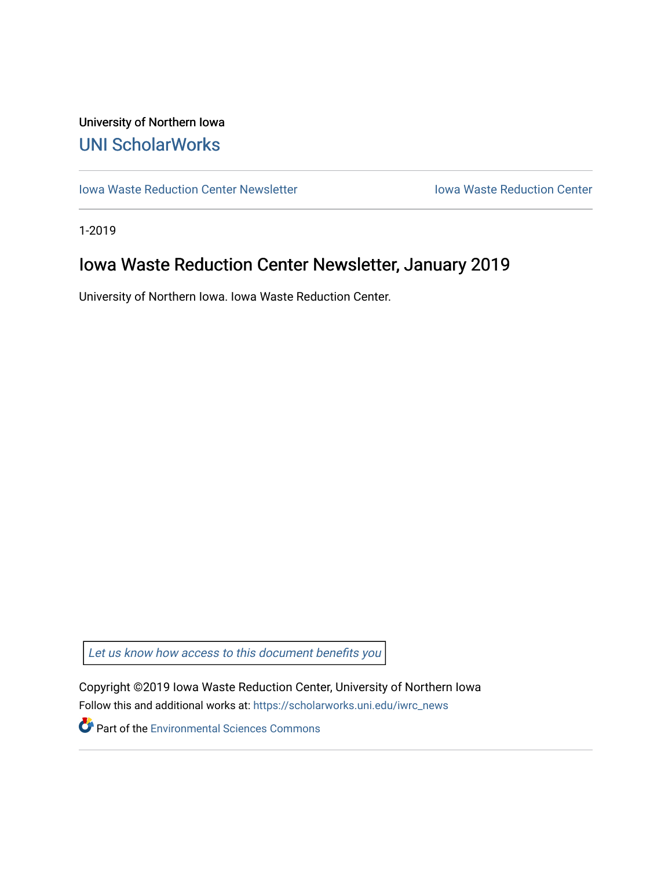# University of Northern Iowa [UNI ScholarWorks](https://scholarworks.uni.edu/)

[Iowa Waste Reduction Center Newsletter](https://scholarworks.uni.edu/iwrc_news) **Internal Communist Communist Center** Iowa Waste Reduction Center

1-2019

# Iowa Waste Reduction Center Newsletter, January 2019

University of Northern Iowa. Iowa Waste Reduction Center.

Let us know how access to this document benefits you

Copyright ©2019 Iowa Waste Reduction Center, University of Northern Iowa Follow this and additional works at: [https://scholarworks.uni.edu/iwrc\\_news](https://scholarworks.uni.edu/iwrc_news?utm_source=scholarworks.uni.edu%2Fiwrc_news%2F25&utm_medium=PDF&utm_campaign=PDFCoverPages) 

**Part of the [Environmental Sciences Commons](http://network.bepress.com/hgg/discipline/167?utm_source=scholarworks.uni.edu%2Fiwrc_news%2F25&utm_medium=PDF&utm_campaign=PDFCoverPages)**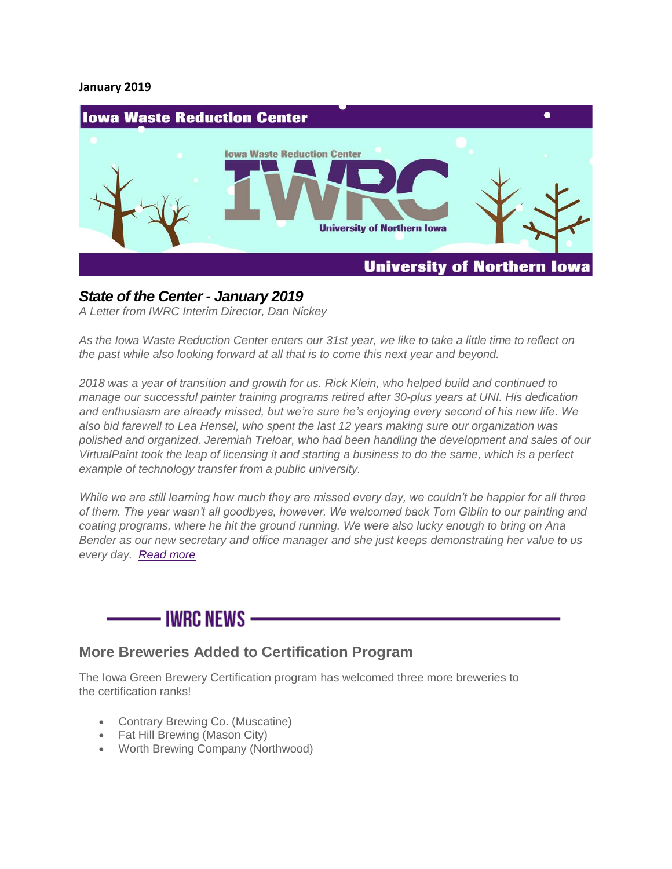#### **January 2019**



### *State of the Center - January 2019*

*A Letter from IWRC Interim Director, Dan Nickey*

*As the Iowa Waste Reduction Center enters our 31st year, we like to take a little time to reflect on the past while also looking forward at all that is to come this next year and beyond.*

*2018 was a year of transition and growth for us. Rick Klein, who helped build and continued to manage our successful painter training programs retired after 30-plus years at UNI. His dedication and enthusiasm are already missed, but we're sure he's enjoying every second of his new life. We also bid farewell to Lea Hensel, who spent the last 12 years making sure our organization was polished and organized. Jeremiah Treloar, who had been handling the development and sales of our VirtualPaint took the leap of licensing it and starting a business to do the same, which is a perfect example of technology transfer from a public university.*

*While we are still learning how much they are missed every day, we couldn't be happier for all three of them. The year wasn't all goodbyes, however. We welcomed back Tom Giblin to our painting and coating programs, where he hit the ground running. We were also lucky enough to bring on Ana Bender as our new secretary and office manager and she just keeps demonstrating her value to us every day. [Read more](https://iwrc.uni.edu/state-of-the-center-january-2019)*

# - IWRC NFWS –

### **More Breweries Added to Certification Program**

The Iowa Green Brewery Certification program has welcomed three more breweries to the certification ranks!

- Contrary Brewing Co. (Muscatine)
- Fat Hill Brewing (Mason City)
- Worth Brewing Company (Northwood)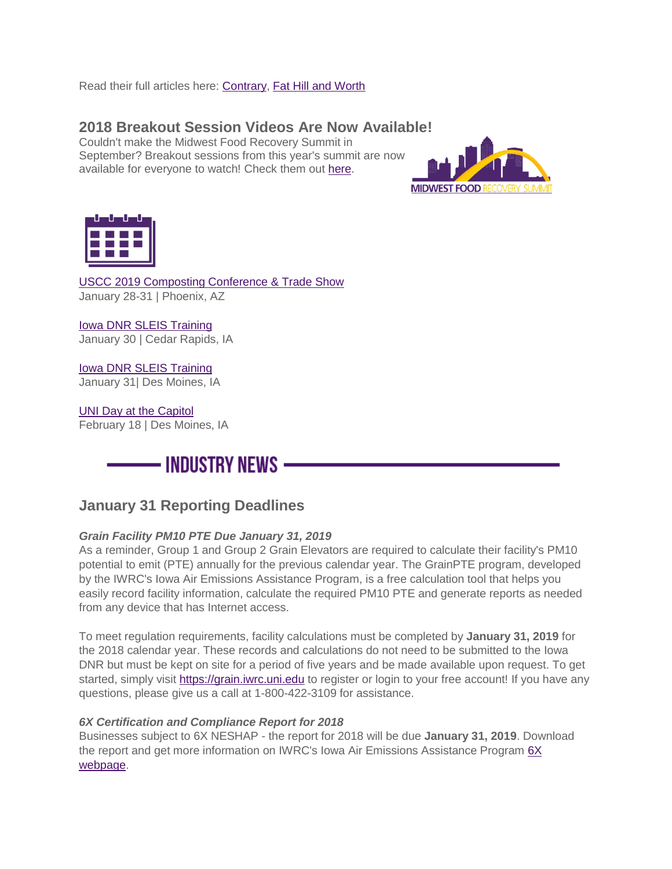Read their full articles here: [Contrary,](https://iwrc.uni.edu/contrary-brewing-co-earns-bronze) [Fat Hill and Worth](https://iwrc.uni.edu/fat-hill-brewing-and-worth-brewing-company-become-green-brewery-certified)

## **2018 Breakout Session Videos Are Now Available!**

Couldn't make the Midwest Food Recovery Summit in September? Breakout sessions from this year's summit are now available for everyone to watch! Check them out [here.](https://www.youtube.com/playlist?list=PLEj-sTw6ExiJQNhI-E1FMgGcSTiXua8kn)





[USCC 2019 Composting Conference & Trade Show](https://compostconference.com/) January 28-31 | Phoenix, AZ

[Iowa DNR SLEIS Training](https://iwrc.uni.edu/iowa-dnr-sleis-training-cedar-rapids-ia) January 30 | Cedar Rapids, IA

[Iowa DNR SLEIS Training](https://iwrc.uni.edu/iowa-dnr-sleis-training-des-moines-ia) January 31| Des Moines, IA

[UNI Day at the Capitol](https://iwrc.uni.edu/uni-day-at-the-capitol-1) February 18 | Des Moines, IA



## **January 31 Reporting Deadlines**

#### *Grain Facility PM10 PTE Due January 31, 2019*

As a reminder, Group 1 and Group 2 Grain Elevators are required to calculate their facility's PM10 potential to emit (PTE) annually for the previous calendar year. The GrainPTE program, developed by the IWRC's Iowa Air Emissions Assistance Program, is a free calculation tool that helps you easily record facility information, calculate the required PM10 PTE and generate reports as needed from any device that has Internet access.

To meet regulation requirements, facility calculations must be completed by **January 31, 2019** for the 2018 calendar year. These records and calculations do not need to be submitted to the Iowa DNR but must be kept on site for a period of five years and be made available upon request. To get started, simply visit [https://grain.iwrc.uni.edu](https://grain.iwrc.uni.edu/) to register or login to your free account! If you have any questions, please give us a call at 1-800-422-3109 for assistance.

#### *6X Certification and Compliance Report for 2018*

Businesses subject to 6X NESHAP - the report for 2018 will be due **January 31, 2019**. Download the report and get more information on IWRC's Iowa Air Emissions Assistance Program [6X](https://iwrc.uni.edu/regulatory-information/neshap/metal-fabrication-and-finishing-source-categories-rule)  [webpage.](https://iwrc.uni.edu/regulatory-information/neshap/metal-fabrication-and-finishing-source-categories-rule)